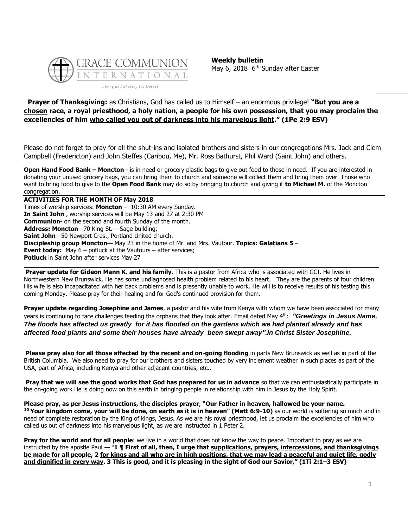

**Weekly bulletin** May 6, 2018 6<sup>th</sup> Sunday after Easter

# **Prayer of Thanksgiving:** as Christians, God has called us to Himself – an enormous privilege! **"But you are a chosen race, a royal priesthood, a holy nation, a people for his own possession, that you may proclaim the excellencies of him who called you out of darkness into his marvelous light." (1Pe 2:9 ESV)**

Please do not forget to pray for all the shut-ins and isolated brothers and sisters in our congregations Mrs. Jack and Clem Campbell (Fredericton) and John Steffes (Caribou, Me), Mr. Ross Bathurst, Phil Ward (Saint John) and others.

**Open Hand Food Bank – Moncton** - is in need or grocery plastic bags to give out food to those in need. If you are interested in donating your unused grocery bags, you can bring them to church and someone will collect them and bring them over. Those who want to bring food to give to the **Open Food Bank** may do so by bringing to church and giving it **to Michael M.** of the Moncton congregation.

**ACTIVITIES FOR THE MONTH OF May 2018** Times of worship services: **Moncton** – 10:30 AM every Sunday. **In Saint John** , worship services will be May 13 and 27 at 2:30 PM **Communion**- on the second and fourth Sunday of the month. **Address: Moncton**—70 King St. —Sage building; **Saint John**—50 Newport Cres., Portland United church. **Discipleship group Moncton—** May 23 in the home of Mr. and Mrs. Vautour. **Topics: Galatians 5** – **Event today:** May 6 – potluck at the Vautours – after services; **Potluck** in Saint John after services May 27

**Prayer update for Gideon Mann K. and his family.** This is a pastor from Africa who is associated with GCI. He lives in Northwestern New Brunswick. He has some undiagnosed health problem related to his heart. They are the parents of four children. His wife is also incapacitated with her back problems and is presently unable to work. He will is to receive results of his testing this coming Monday. Please pray for their healing and for God's continued provision for them.

**\_\_\_\_\_\_\_\_\_\_\_\_\_\_\_\_\_\_\_\_\_\_\_\_\_\_\_\_\_\_\_\_\_\_\_\_\_\_\_\_\_\_\_\_\_\_\_\_\_\_\_\_\_\_\_\_\_\_\_\_\_\_\_\_\_\_\_\_\_\_\_\_\_\_\_\_\_\_\_\_\_\_\_\_\_\_\_\_\_\_\_\_\_**

**Prayer update regarding Josephine and James**, a pastor and his wife from Kenya with whom we have been associated for many years is continuing to face challenges feeding the orphans that they look after. Email dated May 4th: *"Greetings in Jesus Name, The floods has affected us greatly for it has flooded on the gardens which we had planted already and has affected food plants and some their houses have already been swept away".In Christ Sister Josephine.*

**Please pray also for all those affected by the recent and on-going flooding** in parts New Brunswick as well as in part of the British Columbia. We also need to pray for our brothers and sisters touched by very inclement weather in such places as part of the USA, part of Africa, including Kenya and other adjacent countries, etc..

**Pray that we will see the good works that God has prepared for us in advance** so that we can enthusiastically participate in the on-going work He is doing now on this earth in bringing people in relationship with him in Jesus by the Holy Spirit.

**Please pray, as per Jesus instructions, the disciples prayer**, **"Our Father in heaven, hallowed be your name. <sup>10</sup> Your kingdom come, your will be done, on earth as it is in heaven" (Matt 6:9-10)** as our world is suffering so much and in need of complete restoration by the King of kings, Jesus. As we are his royal priesthood, let us proclaim the excellencies of him who called us out of darkness into his marvelous light, as we are instructed in 1 Peter 2.

**Pray for the world and for all people**: we live in a world that does not know the way to peace. Important to pray as we are instructed by the apostle Paul — "**1 ¶ First of all, then, I urge that supplications, prayers, intercessions, and thanksgivings be made for all people, 2 for kings and all who are in high positions, that we may lead a peaceful and quiet life, godly and dignified in every way. 3 This is good, and it is pleasing in the sight of God our Savior," (1Ti 2:1–3 ESV)**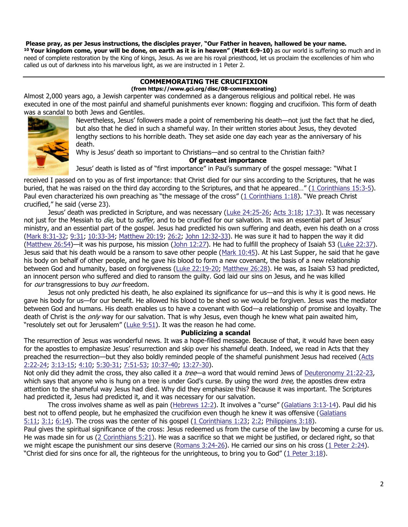### **Please pray, as per Jesus instructions, the disciples prayer**, **"Our Father in heaven, hallowed be your name.**

**<sup>10</sup> Your kingdom come, your will be done, on earth as it is in heaven" (Matt 6:9-10)** as our world is suffering so much and in need of complete restoration by the King of kings, Jesus. As we are his royal priesthood, let us proclaim the excellencies of him who called us out of darkness into his marvelous light, as we are instructed in 1 Peter 2.

#### **COMMEMORATING THE CRUCIFIXION (from https://www.gci.org/disc/08-commemorating)**

Almost 2,000 years ago, a Jewish carpenter was condemned as a dangerous religious and political rebel. He was executed in one of the most painful and shameful punishments ever known: flogging and crucifixion. This form of death was a scandal to both Jews and Gentiles.



Nevertheless, Jesus' followers made a point of remembering his death—not just the fact that he died, but also that he died in such a shameful way. In their written stories about Jesus, they devoted lengthy sections to his horrible death. They set aside one day each year as the anniversary of his death.

Why is Jesus' death so important to Christians—and so central to the Christian faith?

## **Of greatest importance**

Jesus' death is listed as of "first importance" in Paul's summary of the gospel message: "What I

received I passed on to you as of first importance: that Christ died for our sins according to the Scriptures, that he was buried, that he was raised on the third day according to the Scriptures, and that he appeared…" ([1 Corinthians 15:3-5\)](https://biblia.com/bible/niv/1%20Cor%2015.3-5). Paul even characterized his own preaching as "the message of the cross" ([1 Corinthians 1:18](https://biblia.com/bible/niv/1%20Cor%201.18)). "We preach Christ crucified," he said (verse 23).

Jesus' death was predicted in Scripture, and was necessary ([Luke 24:25-26;](https://biblia.com/bible/niv/Luke%2024.25-26) [Acts 3:18;](https://biblia.com/bible/niv/Acts%203.18) [17:3\)](https://biblia.com/bible/niv/Acts%2017.3). It was necessary not just for the Messiah to *die*, but to *suffer*, and to be crucified for our salvation. It was an essential part of Jesus' ministry, and an essential part of the gospel. Jesus had predicted his own suffering and death, even his death on a cross [\(Mark 8:31-32;](https://biblia.com/bible/niv/Mark%208.31-32) [9:31;](https://biblia.com/bible/niv/Mark%209.31) [10:33-34;](https://biblia.com/bible/niv/Mark%2010.33-34) [Matthew 20:19;](https://biblia.com/bible/niv/Matt%2020.19) [26:2;](https://biblia.com/bible/niv/Matthew%2026.2) [John 12:32-33\)](https://biblia.com/bible/niv/John%2012.32-33). He was sure it had to happen the way it did [\(Matthew 26:54\)](https://biblia.com/bible/niv/Matt%2026.54)—it was his purpose, his mission [\(John 12:27\)](https://biblia.com/bible/niv/John%2012.27). He had to fulfill the prophecy of Isaiah 53 [\(Luke 22:37\)](https://biblia.com/bible/niv/Luke%2022.37). Jesus said that his death would be a ransom to save other people [\(Mark 10:45\)](https://biblia.com/bible/niv/Mark%2010.45). At his Last Supper, he said that he gave his body on behalf of other people, and he gave his blood to form a new covenant, the basis of a new relationship between God and humanity, based on forgiveness [\(Luke 22:19-20;](https://biblia.com/bible/niv/Luke%2022.19-20) [Matthew 26:28\)](https://biblia.com/bible/niv/Matt%2026.28). He was, as Isaiah 53 had predicted, an innocent person who suffered and died to ransom the guilty. God laid our sins on Jesus, and he was killed for *our* transgressions to buy our freedom.

Jesus not only predicted his death, he also explained its significance for us—and this is why it is good news. He gave his body for us—for our benefit. He allowed his blood to be shed so we would be forgiven. Jesus was the mediator between God and humans. His death enables us to have a covenant with God—a relationship of promise and loyalty. The death of Christ is the *only* way for our salvation. That is why Jesus, even though he knew what pain awaited him, "resolutely set out for Jerusalem" ( $Luke 9:51$ ). It was the reason he had come.

# **Publicizing a scandal**

The resurrection of Jesus was wonderful news. It was a hope-filled message. Because of that, it would have been easy for the apostles to emphasize Jesus' resurrection and skip over his shameful death. Indeed, we read in Acts that they preached the resurrection—but they also boldly reminded people of the shameful punishment Jesus had received (Acts [2:22-24;](https://biblia.com/bible/niv/Acts%202.22-24) [3:13-15;](https://biblia.com/bible/niv/Acts%203.13-15) [4:10;](https://biblia.com/bible/niv/Acts%204.10) [5:30-31;](https://biblia.com/bible/niv/Acts%205.30-31) [7:51-53;](https://biblia.com/bible/niv/Acts%207.51-53) [10:37-40;](https://biblia.com/bible/niv/Acts%2010.37-40) [13:27-30\)](https://biblia.com/bible/niv/Acts%2013.27-30).

Not only did they admit the cross, they also called it a *tree*—a word that would remind Jews of [Deuteronomy 21:22-23,](https://biblia.com/bible/niv/Deut%2021.22-23) which says that anyone who is hung on a tree is under God's curse. By using the word *tree*, the apostles drew extra attention to the shameful way Jesus had died. Why did they emphasize this? Because it was important. The Scriptures had predicted it, Jesus had predicted it, and it was necessary for our salvation.

The cross involves shame as well as pain [\(Hebrews 12:2](https://biblia.com/bible/niv/Heb%2012.2)). It involves a "curse" ([Galatians 3:13-14\)](https://biblia.com/bible/niv/Gal%203.13-14). Paul did his best not to offend people, but he emphasized the crucifixion even though he knew it was offensive (Galatians [5:11;](https://biblia.com/bible/niv/Gal%205.11) [3:1;](https://biblia.com/bible/niv/Galatians%203.1) [6:14\)](https://biblia.com/bible/niv/Galatians%206.14). The cross was the center of his gospel [\(1 Corinthians 1:23;](https://biblia.com/bible/niv/1%20Cor%201.23) [2:2;](https://biblia.com/bible/niv/1%20Corinthians%202.2) [Philippians 3:18\)](https://biblia.com/bible/niv/Phil%203.18).

Paul gives the spiritual significance of the cross: Jesus redeemed us from the curse of the law by becoming a curse for us. He was made sin for us [\(2 Corinthians 5:21\)](https://biblia.com/bible/niv/2%20Cor%205.21). He was a sacrifice so that we might be justified, or declared right, so that we might escape the punishment our sins deserve [\(Romans 3:24-26\)](https://biblia.com/bible/niv/Rom%203.24-26). He carried our sins on his cross [\(1 Peter 2:24\)](https://biblia.com/bible/niv/1%20Pet%202.24). "Christ died for sins once for all, the righteous for the unrighteous, to bring you to God" ( $1$  Peter 3:18).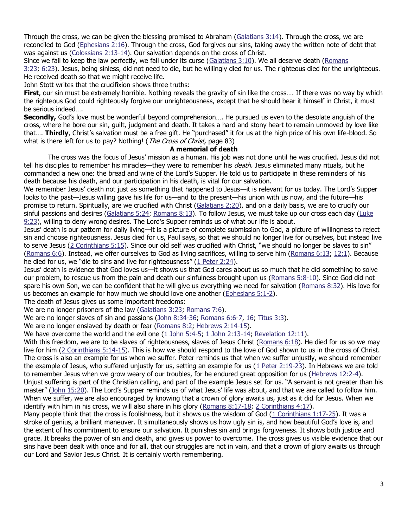Through the cross, we can be given the blessing promised to Abraham [\(Galatians 3:14\)](https://biblia.com/bible/niv/Gal%203.14). Through the cross, we are reconciled to God [\(Ephesians 2:16\)](https://biblia.com/bible/niv/Eph%202.16). Through the cross, God forgives our sins, taking away the written note of debt that was against us [\(Colossians 2:13-14\)](https://biblia.com/bible/niv/Col%202.13-14). Our salvation depends on the cross of Christ.

Since we fail to keep the law perfectly, we fall under its curse ( $Galatians 3:10$ ). We all deserve death (Romans [3:23;](https://biblia.com/bible/niv/Rom%203.23) [6:23\)](https://biblia.com/bible/niv/Romans%206.23). Jesus, being sinless, did not need to die, but he willingly died for us. The righteous died for the unrighteous. He received death so that we might receive life.

John Stott writes that the crucifixion shows three truths:

**First**, our sin must be extremely horrible. Nothing reveals the gravity of sin like the cross…. If there was no way by which the righteous God could righteously forgive our unrighteousness, except that he should bear it himself in Christ, it must be serious indeed….

**Secondly,** God's love must be wonderful beyond comprehension…. He pursued us even to the desolate anguish of the cross, where he bore our sin, guilt, judgment and death. It takes a hard and stony heart to remain unmoved by love like that…. **Thirdly**, Christ's salvation must be a free gift. He "purchased" it for us at the high price of his own life-blood. So what is there left for us to pay? Nothing! (The Cross of Christ, page 83)

### **A memorial of death**

The cross was the focus of Jesus' mission as a human. His job was not done until he was crucified. Jesus did not tell his disciples to remember his miracles—they were to remember his *death*. Jesus eliminated many rituals, but he commanded a new one: the bread and wine of the Lord's Supper. He told us to participate in these reminders of his death because his death, and our participation in his death, is vital for our salvation.

We remember Jesus' death not just as something that happened to Jesus—it is relevant for us today. The Lord's Supper looks to the past—Jesus willing gave his life for us—and to the present—his union with us now, and the future—his promise to return. Spiritually, are we crucified with Christ [\(Galatians 2:20\)](https://biblia.com/bible/niv/Gal%202.20), and on a daily basis, we are to crucify our sinful passions and desires [\(Galatians 5:24;](https://biblia.com/bible/niv/Gal%205.24) [Romans 8:13\)](https://biblia.com/bible/niv/Rom%208.13). To follow Jesus, we must take up our cross each day (Luke [9:23](https://biblia.com/bible/niv/Luke%209.23)), willing to deny wrong desires. The Lord's Supper reminds us of what our life is about.

Jesus' death is our pattern for daily living—it is a picture of complete submission to God, a picture of willingness to reject sin and choose righteousness. Jesus died for us, Paul says, so that we should no longer live for ourselves, but instead live to serve Jesus (2 [Corinthians 5:15](https://biblia.com/bible/niv/2%20Cor%205.15)). Since our old self was crucified with Christ, "we should no longer be slaves to sin" [\(Romans 6:6\)](https://biblia.com/bible/niv/Rom%206.6). Instead, we offer ourselves to God as living sacrifices, willing to serve him [\(Romans 6:13;](https://biblia.com/bible/niv/Rom%206.13) [12:1\)](https://biblia.com/bible/niv/Romans%2012.1). Because he died for us, we "die to sins and live for righteousness"  $(1$  Peter 2:24).

Jesus' death is evidence that God loves us—it shows us that God cares about us so much that he did something to solve our problem, to rescue us from the pain and death our sinfulness brought upon us [\(Romans 5:8-10\)](https://biblia.com/bible/niv/Rom%205.8-10). Since God did not spare his own Son, we can be confident that he will give us everything we need for salvation [\(Romans 8:32\)](https://biblia.com/bible/niv/Rom%208.32). His love for us becomes an example for how much we should love one another [\(Ephesians 5:1-2\)](https://biblia.com/bible/niv/Eph%205.1-2).

The death of Jesus gives us some important freedoms:

We are no longer prisoners of the law [\(Galatians 3:23;](https://biblia.com/bible/niv/Gal%203.23) [Romans 7:6\)](https://biblia.com/bible/niv/Rom%207.6).

We are no longer slaves of sin and passions [\(John 8:34-36;](https://biblia.com/bible/niv/John%208.34-36) [Romans 6:6-7,](https://biblia.com/bible/niv/Rom%206.6-7) [16;](https://biblia.com/bible/niv/Romans%206.16) [Titus 3:3\)](https://biblia.com/bible/niv/Titus%203.3).

We are no longer enslaved by death or fear [\(Romans 8:2;](https://biblia.com/bible/niv/Rom%208.2) [Hebrews 2:14-15\)](https://biblia.com/bible/niv/Heb%202.14-15).

We have overcome the world and the evil one [\(1 John 5:4-5;](https://biblia.com/bible/niv/1%20John%205.4-5) [1 John 2:13-14;](https://biblia.com/bible/niv/1%20John%202.13-14) [Revelation 12:11\)](https://biblia.com/bible/niv/Rev%2012.11).

With this freedom, we are to be slaves of righteousness, slaves of Jesus Christ [\(Romans 6:18\)](https://biblia.com/bible/niv/Rom%206.18). He died for us so we may live for him [\(2 Corinthians 5:14-15\)](https://biblia.com/bible/niv/2%20Cor%205.14-15). This is how we should respond to the love of God shown to us in the cross of Christ. The cross is also an example for us when we suffer. Peter reminds us that when we suffer unjustly, we should remember the example of Jesus, who suffered unjustly for us, setting an example for us  $(1$  Peter 2:19-23). In Hebrews we are told to remember Jesus when we grow weary of our troubles, for he endured great opposition for us [\(Hebrews 12:2-4\)](https://biblia.com/bible/niv/Heb%2012.2-4). Unjust suffering is part of the Christian calling, and part of the example Jesus set for us. "A servant is not greater than his master" ([John 15:20](https://biblia.com/bible/niv/John%2015.20)). The Lord's Supper reminds us of what Jesus' life was about, and that we are called to follow him. When we suffer, we are also encouraged by knowing that a crown of glory awaits us, just as it did for Jesus. When we identify with him in his cross, we will also share in his glory [\(Romans 8:17-18;](https://biblia.com/bible/niv/Rom%208.17-18) [2 Corinthians 4:17\)](https://biblia.com/bible/niv/2%20Cor%204.17).

Many people think that the cross is foolishness, but it shows us the wisdom of God [\(1 Corinthians 1:17-25\)](https://biblia.com/bible/niv/1%20Cor%201.17-25). It was a stroke of genius, a brilliant maneuver. It simultaneously shows us how ugly sin is, and how beautiful God's love is, and the extent of his commitment to ensure our salvation. It punishes sin and brings forgiveness. It shows both justice and grace. It breaks the power of sin and death, and gives us power to overcome. The cross gives us visible evidence that our sins have been dealt with once and for all, that our struggles are not in vain, and that a crown of glory awaits us through our Lord and Savior Jesus Christ. It is certainly worth remembering.